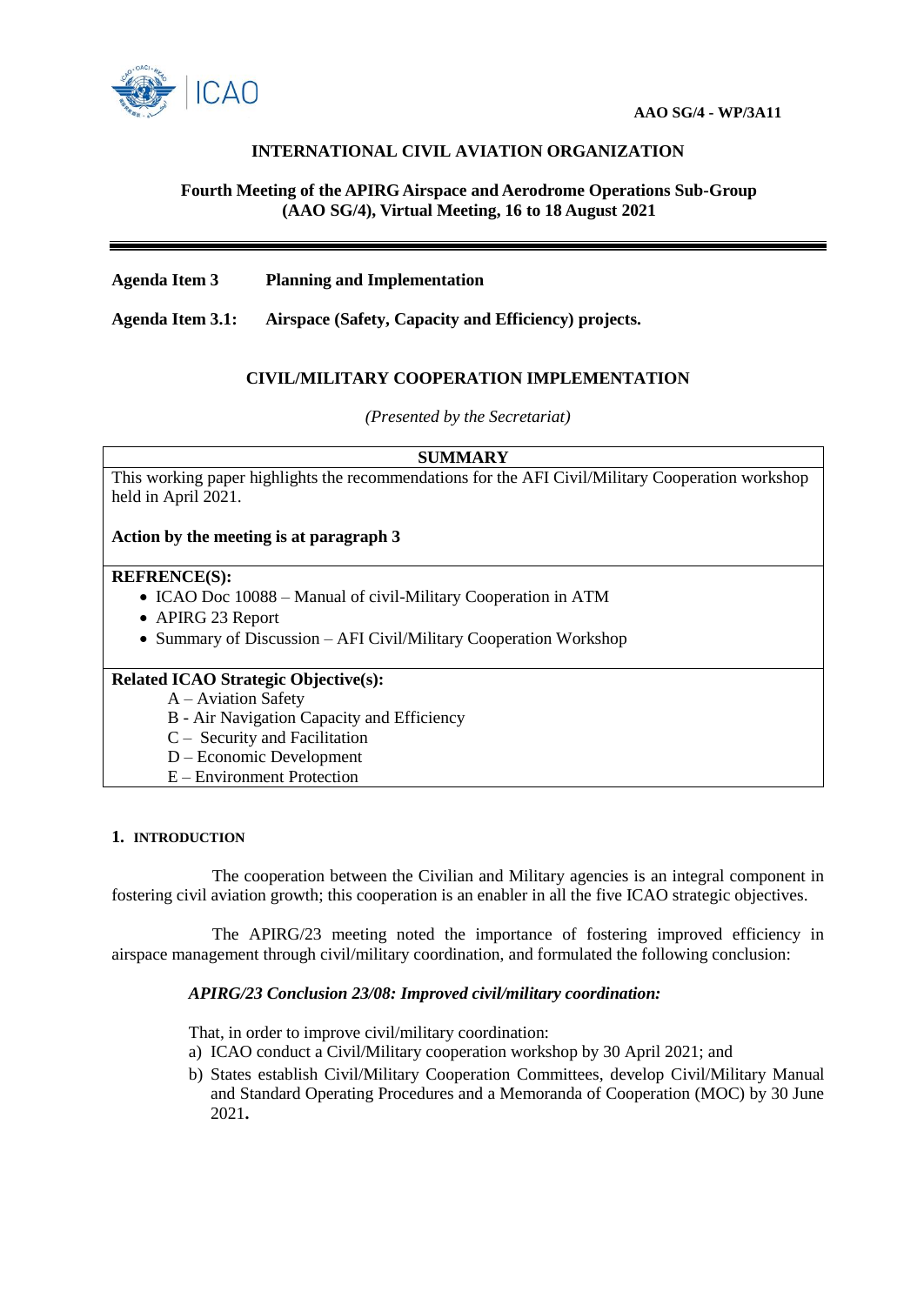

# **INTERNATIONAL CIVIL AVIATION ORGANIZATION**

### **Fourth Meeting of the APIRG Airspace and Aerodrome Operations Sub-Group (AAO SG/4), Virtual Meeting, 16 to 18 August 2021**

**Agenda Item 3 Planning and Implementation** 

**Agenda Item 3.1: Airspace (Safety, Capacity and Efficiency) projects.**

## **CIVIL/MILITARY COOPERATION IMPLEMENTATION**

*(Presented by the Secretariat)*

#### **SUMMARY**

This working paper highlights the recommendations for the AFI Civil/Military Cooperation workshop held in April 2021.

### **Action by the meeting is at paragraph 3**

### **REFRENCE(S):**

- ICAO Doc 10088 Manual of civil-Military Cooperation in ATM
- APIRG 23 Report
- Summary of Discussion AFI Civil/Military Cooperation Workshop

### **Related ICAO Strategic Objective(s):**

A – Aviation Safety

- B Air Navigation Capacity and Efficiency
- C Security and Facilitation
- D Economic Development
- E Environment Protection

#### **1. INTRODUCTION**

The cooperation between the Civilian and Military agencies is an integral component in fostering civil aviation growth; this cooperation is an enabler in all the five ICAO strategic objectives.

The APIRG/23 meeting noted the importance of fostering improved efficiency in airspace management through civil/military coordination, and formulated the following conclusion:

### *APIRG/23 Conclusion 23/08: Improved civil/military coordination:*

That, in order to improve civil/military coordination:

- a) ICAO conduct a Civil/Military cooperation workshop by 30 April 2021; and
- b) States establish Civil/Military Cooperation Committees, develop Civil/Military Manual and Standard Operating Procedures and a Memoranda of Cooperation (MOC) by 30 June 2021**.**